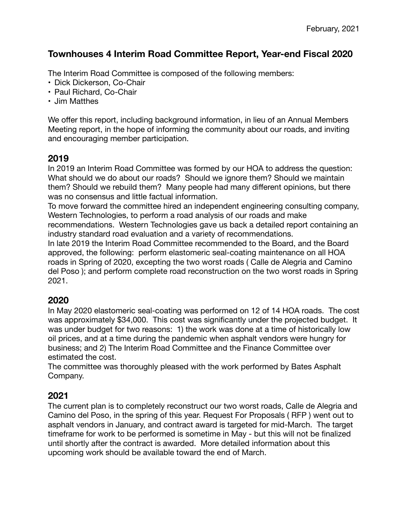# **Townhouses 4 Interim Road Committee Report, Year-end Fiscal 2020**

The Interim Road Committee is composed of the following members:

- Dick Dickerson, Co-Chair
- Paul Richard, Co-Chair
- Jim Matthes

We offer this report, including background information, in lieu of an Annual Members Meeting report, in the hope of informing the community about our roads, and inviting and encouraging member participation.

### **2019**

In 2019 an Interim Road Committee was formed by our HOA to address the question: What should we do about our roads? Should we ignore them? Should we maintain them? Should we rebuild them? Many people had many different opinions, but there was no consensus and little factual information.

To move forward the committee hired an independent engineering consulting company, Western Technologies, to perform a road analysis of our roads and make

recommendations. Western Technologies gave us back a detailed report containing an industry standard road evaluation and a variety of recommendations.

In late 2019 the Interim Road Committee recommended to the Board, and the Board approved, the following: perform elastomeric seal-coating maintenance on all HOA roads in Spring of 2020, excepting the two worst roads ( Calle de Alegria and Camino del Poso ); and perform complete road reconstruction on the two worst roads in Spring 2021.

### **2020**

In May 2020 elastomeric seal-coating was performed on 12 of 14 HOA roads. The cost was approximately \$34,000. This cost was significantly under the projected budget. It was under budget for two reasons: 1) the work was done at a time of historically low oil prices, and at a time during the pandemic when asphalt vendors were hungry for business; and 2) The Interim Road Committee and the Finance Committee over estimated the cost.

The committee was thoroughly pleased with the work performed by Bates Asphalt Company.

### **2021**

The current plan is to completely reconstruct our two worst roads, Calle de Alegria and Camino del Poso, in the spring of this year. Request For Proposals ( RFP ) went out to asphalt vendors in January, and contract award is targeted for mid-March. The target timeframe for work to be performed is sometime in May - but this will not be finalized until shortly after the contract is awarded. More detailed information about this upcoming work should be available toward the end of March.